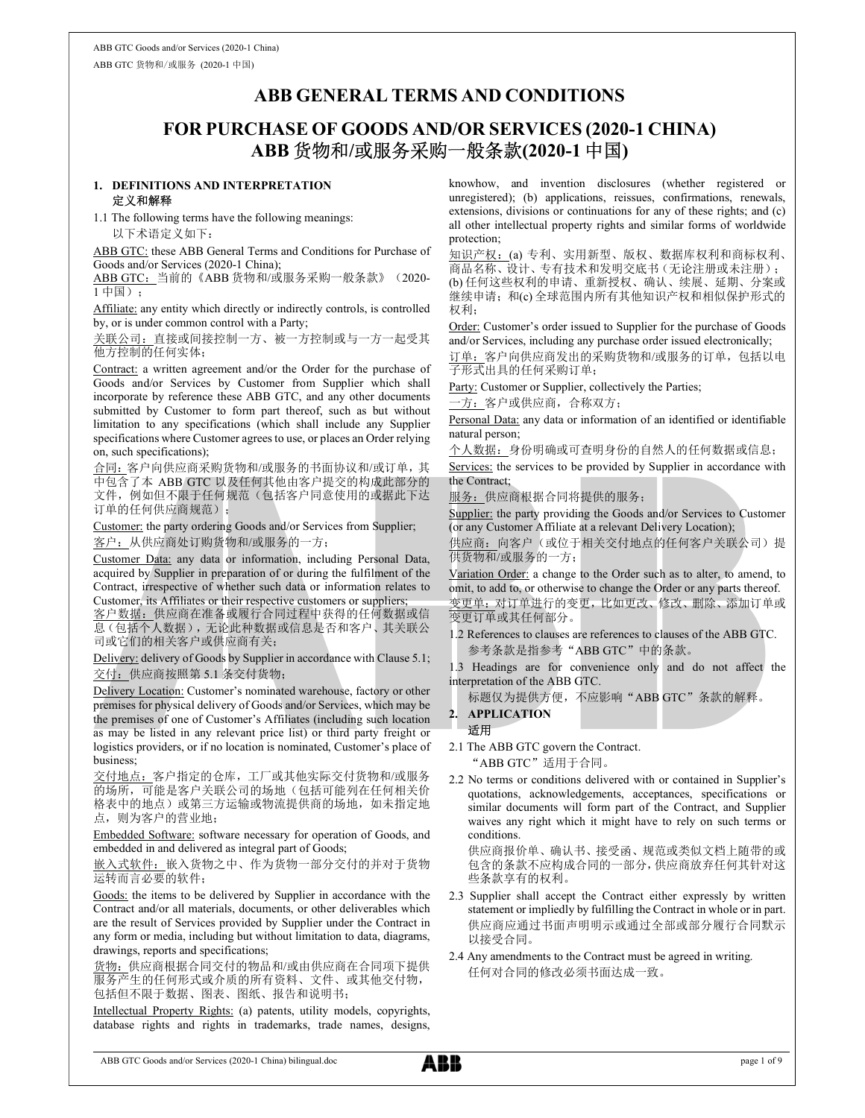# ABB GENERAL TERMS AND CONDITIONS

# FOR PURCHASE OF GOODS AND/OR SERVICES (2020-1 CHINA) ABB 货物和/或服务采购一般条款(2020-1 中国)

## 1. DEFINITIONS AND INTERPRETATION 定义和解释

1.1 The following terms have the following meanings: 以下术语定义如下:

ABB GTC: these ABB General Terms and Conditions for Purchase of Goods and/or Services (2020-1 China);

ABB GTC: 当前的《ABB 货物和/或服务采购一般条款》(2020-1 中国);

Affiliate: any entity which directly or indirectly controls, is controlled by, or is under common control with a Party;

关联公司:直接或间接控制一方、被一方控制或与一方一起受其 他方控制的任何实体;

Contract: a written agreement and/or the Order for the purchase of 子形式出具的任何采购订单; Goods and/or Services by Customer from Supplier which shall incorporate by reference these ABB GTC, and any other documents submitted by Customer to form part thereof, such as but without limitation to any specifications (which shall include any Supplier specifications where Customer agrees to use, or places an Order relying on, such specifications);

合同:客户向供应商采购货物和/或服务的书面协议和/或订单,其 中包含了本 ABB GTC 以及任何其他由客户提交的构成此部分的 文件,例如但不限于任何规范(包括客户同意使用的或据此下达 订单的任何供应商规范);

Customer: the party ordering Goods and/or Services from Supplier; 客户:从供应商处订购货物和/或服务的一方;

Customer Data: any data or information, including Personal Data, acquired by Supplier in preparation of or during the fulfilment of the Contract, irrespective of whether such data or information relates to Customer, its Affiliates or their respective customers or suppliers;

客户数据:供应商在准备或履行合同过程中获得的任何数据或信 息(包括个人数据),无论此种数据或信息是否和客户、其关联公 司或它们的相关客户或供应商有关;<br><u>Delivery:</u> delivery of Goods by Supplier in accordance with Clause 5.1;

交付:供应商按照第 5.1 条交付货物;

Delivery Location: Customer's nominated warehouse, factory or other premises for physical delivery of Goods and/or Services, which may be the premises of one of Customer's Affiliates (including such location as may be listed in any relevant price list) or third party freight or logistics providers, or if no location is nominated, Customer's place of business;

交付地点:客户指定的仓库,工厂或其他实际交付货物和/或服务 的场所,可能是客户关联公司的场地(包括可能列在任何相关价 格表中的地点)或第三方运输或物流提供商的场地,如未指定地 点,则为客户的营业地;

Embedded Software: software necessary for operation of Goods, and embedded in and delivered as integral part of Goods;

嵌入式软件:嵌入货物之中、作为货物一部分交付的并对于货物 运转而言必要的软件;

Goods: the items to be delivered by Supplier in accordance with the Contract and/or all materials, documents, or other deliverables which are the result of Services provided by Supplier under the Contract in any form or media, including but without limitation to data, diagrams, drawings, reports and specifications;

货物:供应商根据合同交付的物品和/或由供应商在合同项下提供 服务产生的任何形式或介质的所有资料、文件、或其他交付物, 包括但不限于数据、图表、图纸、报告和说明书;

Intellectual Property Rights: (a) patents, utility models, copyrights, database rights and rights in trademarks, trade names, designs, knowhow, and invention disclosures (whether registered or unregistered); (b) applications, reissues, confirmations, renewals, extensions, divisions or continuations for any of these rights; and (c) all other intellectual property rights and similar forms of worldwide protection;

知识产权: (a) 专利、实用新型、版权、数据库权利和商标权利、 商品名称、设计、专有技术和发明交底书(无论注册或未注册); (b) 任何这些权利的申请、重新授权、确认、续展、延期、分案或

继续申请; 和(c) 全球范围内所有其他知识产权和相似保护形式的 权利;

Order: Customer's order issued to Supplier for the purchase of Goods and/or Services, including any purchase order issued electronically;

订单:客户向供应商发出的采购货物和/或服务的订单,包括以电

Party: Customer or Supplier, collectively the Parties;

一方: 客户或供应商, 合称双方;

Personal Data: any data or information of an identified or identifiable natural person;

个人数据:身份明确或可查明身份的自然人的任何数据或信息;

Services: the services to be provided by Supplier in accordance with the Contract;

服务:供应商根据合同将提供的服务;

Supplier: the party providing the Goods and/or Services to Customer (or any Customer Affiliate at a relevant Delivery Location);

供应商: 向客户(或位于相关交付地点的任何客户关联公司)提 供货物和/或服务的一方;

Variation Order: a change to the Order such as to alter, to amend, to omit, to add to, or otherwise to change the Order or any parts thereof. 变更单:对订单进行的变更,比如更改、修改、删除、添加订单或 变更订单或其任何部分。

1.2 References to clauses are references to clauses of the ABB GTC. 参考条款是指参考"ABB GTC"中的条款。

1.3 Headings are for convenience only and do not affect the interpretation of the ABB GTC.

标题仅为提供方便,不应影响"ABB GTC"条款的解释。

# 2. APPLICATION

适用

2.1 The ABB GTC govern the Contract.

"ABB GTC"适用于合同。

2.2 No terms or conditions delivered with or contained in Supplier's quotations, acknowledgements, acceptances, specifications or similar documents will form part of the Contract, and Supplier waives any right which it might have to rely on such terms or conditions.

供应商报价单、确认书、接受函、规范或类似文档上随带的或 包含的条款不应构成合同的一部分,供应商放弃任何其针对这 些条款享有的权利。

- 2.3 Supplier shall accept the Contract either expressly by written statement or impliedly by fulfilling the Contract in whole or in part. 供应商应通过书面声明明示或通过全部或部分履行合同默示 以接受合同。
- 2.4 Any amendments to the Contract must be agreed in writing. 任何对合同的修改必须书面达成一致。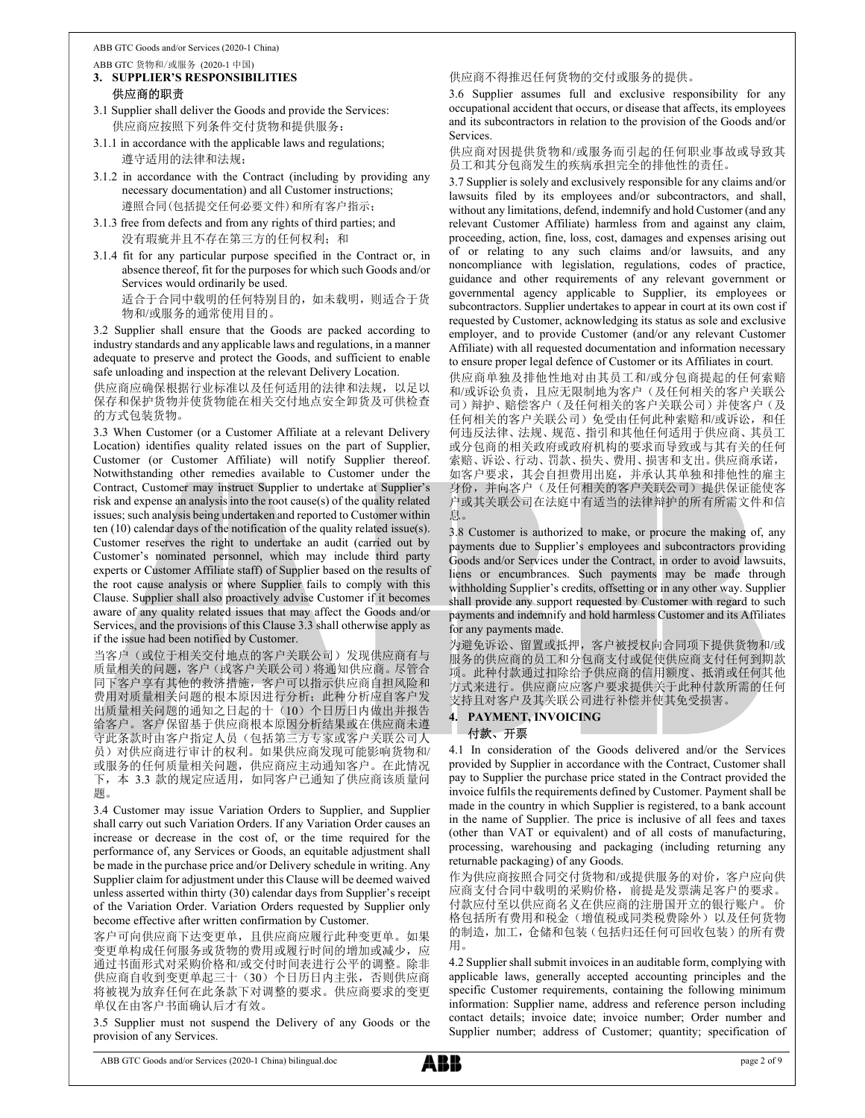- ABB GTC 货物和/或服务 (2020-1 中国) 3. SUPPLIER'S RESPONSIBILITIES
	- 供应商的职责
- 3.1 Supplier shall deliver the Goods and provide the Services: 供应商应按照下列条件交付货物和提供服务:
- 3.1.1 in accordance with the applicable laws and regulations; 遵守适用的法律和法规;
- 3.1.2 in accordance with the Contract (including by providing any necessary documentation) and all Customer instructions; 遵照合同(包括提交任何必要文件)和所有客户指示;
- 3.1.3 free from defects and from any rights of third parties; and 没有瑕疵并且不存在第三方的任何权利;和
- 3.1.4 fit for any particular purpose specified in the Contract or, in absence thereof, fit for the purposes for which such Goods and/or Services would ordinarily be used. 适合于合同中载明的任何特别目的,如未载明,则适合于货 物和/或服务的通常使用目的。

3.2 Supplier shall ensure that the Goods are packed according to industry standards and any applicable laws and regulations, in a manner adequate to preserve and protect the Goods, and sufficient to enable safe unloading and inspection at the relevant Delivery Location.

供应商应确保根据行业标准以及任何适用的法律和法规,以足以 保存和保护货物并使货物能在相关交付地点安全卸货及可供检查 的方式包装货物。

3.3 When Customer (or a Customer Affiliate at a relevant Delivery Location) identifies quality related issues on the part of Supplier, Customer (or Customer Affiliate) will notify Supplier thereof. Notwithstanding other remedies available to Customer under the Contract, Customer may instruct Supplier to undertake at Supplier's risk and expense an analysis into the root cause(s) of the quality related issues; such analysis being undertaken and reported to Customer within ten (10) calendar days of the notification of the quality related issue(s). Customer reserves the right to undertake an audit (carried out by Customer's nominated personnel, which may include third party experts or Customer Affiliate staff) of Supplier based on the results of the root cause analysis or where Supplier fails to comply with this Clause. Supplier shall also proactively advise Customer if it becomes aware of any quality related issues that may affect the Goods and/or Services, and the provisions of this Clause 3.3 shall otherwise apply as if the issue had been notified by Customer.

当客户(或位于相关交付地点的客户关联公司)发现供应商有与 质量相关的问题,客户(或客户关联公司)将通知供应商。尽管合 同下客户享有其他的救济措施,客户可以指示供应商自担风险和 费用对质量相关问题的根本原因进行分析;此种分析应自客户发 出质量相关问题的通知之日起的十(10)个日历日内做出并报告 给客户。客户保留基于供应商根本原因分析结果或在供应商未遵 守此条款时由客户指定人员(包括第三方专家或客户关联公司人 员)对供应商进行审计的权利。如果供应商发现可能影响货物和/ 或服务的任何质量相关问题,供应商应主动通知客户。在此情况 下,本 3.3 款的规定应适用,如同客户已通知了供应商该质量问 题。

3.4 Customer may issue Variation Orders to Supplier, and Supplier shall carry out such Variation Orders. If any Variation Order causes an increase or decrease in the cost of, or the time required for the performance of, any Services or Goods, an equitable adjustment shall be made in the purchase price and/or Delivery schedule in writing. Any Supplier claim for adjustment under this Clause will be deemed waived unless asserted within thirty (30) calendar days from Supplier's receipt of the Variation Order. Variation Orders requested by Supplier only become effective after written confirmation by Customer.

客户可向供应商下达变更单,且供应商应履行此种变更单。如果 变更单构成任何服务或货物的费用或履行时间的增加或减少,应 通过书面形式对采购价格和/或交付时间表进行公平的调整。除非 供应商自收到变更单起三十(30)个日历日内主张,否则供应商 将被视为放弃任何在此条款下对调整的要求。供应商要求的变更 单仅在由客户书面确认后才有效。

3.5 Supplier must not suspend the Delivery of any Goods or the provision of any Services.

# 供应商不得推迟任何货物的交付或服务的提供。

3.6 Supplier assumes full and exclusive responsibility for any occupational accident that occurs, or disease that affects, its employees and its subcontractors in relation to the provision of the Goods and/or Services.

供应商对因提供货物和/或服务而引起的任何职业事故或导致其 员工和其分包商发生的疾病承担完全的排他性的责任。

3.7 Supplier is solely and exclusively responsible for any claims and/or lawsuits filed by its employees and/or subcontractors, and shall, without any limitations, defend, indemnify and hold Customer (and any relevant Customer Affiliate) harmless from and against any claim, proceeding, action, fine, loss, cost, damages and expenses arising out of or relating to any such claims and/or lawsuits, and any noncompliance with legislation, regulations, codes of practice, guidance and other requirements of any relevant government or governmental agency applicable to Supplier, its employees or subcontractors. Supplier undertakes to appear in court at its own cost if requested by Customer, acknowledging its status as sole and exclusive employer, and to provide Customer (and/or any relevant Customer Affiliate) with all requested documentation and information necessary to ensure proper legal defence of Customer or its Affiliates in court.

供应商单独及排他性地对由其员工和/或分包商提起的任何索赔 和/或诉讼负责,且应无限制地为客户(及任何相关的客户关联公 司)辩护、赔偿客户(及任何相关的客户关联公司)并使客户(及 任何相关的客户关联公司)免受由任何此种索赔和/或诉讼,和任 何违反法律、法规、规范、指引和其他任何适用于供应商、其员工 或分包商的相关政府或政府机构的要求而导致或与其有关的任何 索赔、诉讼、行动、罚款、损失、费用、损害和支出。供应商承诺, 如客户要求,其会自担费用出庭,并承认其单独和排他性的雇主 身份,并向客户(及任何相关的客户关联公司)提供保证能使客 户或其关联公司在法庭中有适当的法律辩护的所有所需文件和信 息。

3.8 Customer is authorized to make, or procure the making of, any payments due to Supplier's employees and subcontractors providing Goods and/or Services under the Contract, in order to avoid lawsuits, liens or encumbrances. Such payments may be made through withholding Supplier's credits, offsetting or in any other way. Supplier shall provide any support requested by Customer with regard to such payments and indemnify and hold harmless Customer and its Affiliates for any payments made.

为避免诉讼、留置或抵押,客户被授权向合同项下提供货物和/或 服务的供应商的员工和分包商支付或促使供应商支付任何到期款 项。此种付款通过扣除给予供应商的信用额度、抵消或任何其他 方式来进行。供应商应应客户要求提供关于此种付款所需的任何 支持且对客户及其关联公司进行补偿并使其免受损害。

# 4. PAYMENT, INVOICING 付款、开票

4.1 In consideration of the Goods delivered and/or the Services provided by Supplier in accordance with the Contract, Customer shall pay to Supplier the purchase price stated in the Contract provided the invoice fulfils the requirements defined by Customer. Payment shall be made in the country in which Supplier is registered, to a bank account in the name of Supplier. The price is inclusive of all fees and taxes (other than VAT or equivalent) and of all costs of manufacturing, processing, warehousing and packaging (including returning any returnable packaging) of any Goods.

作为供应商按照合同交付货物和/或提供服务的对价,客户应向供 应商支付合同中载明的采购价格,前提是发票满足客户的要求。 付款应付至以供应商名义在供应商的注册国开立的银行账户。 价 格包括所有费用和税金(增值税或同类税费除外)以及任何货物 的制造,加工,仓储和包装(包括归还任何可回收包装)的所有费 用。

4.2 Supplier shall submit invoices in an auditable form, complying with applicable laws, generally accepted accounting principles and the specific Customer requirements, containing the following minimum information: Supplier name, address and reference person including contact details; invoice date; invoice number; Order number and Supplier number; address of Customer; quantity; specification of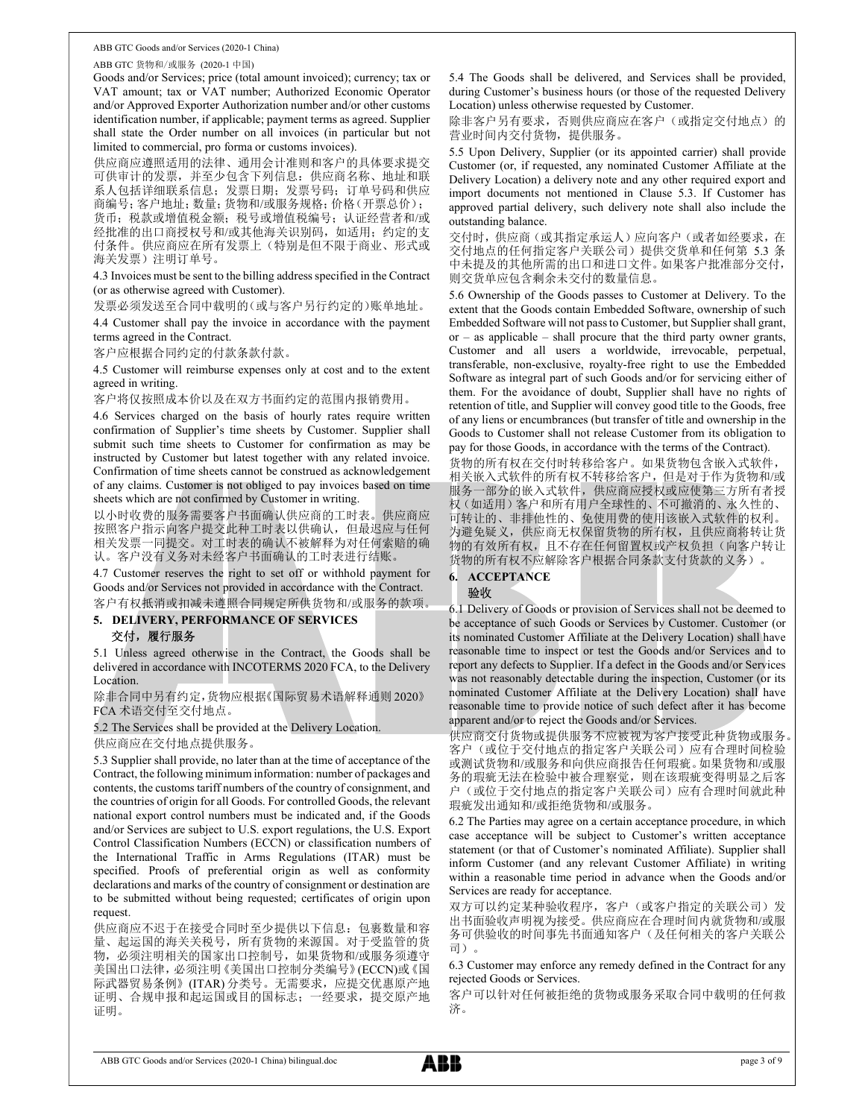ABB GTC 货物和/或服务 (2020-1 中国)

Goods and/or Services; price (total amount invoiced); currency; tax or VAT amount; tax or VAT number; Authorized Economic Operator and/or Approved Exporter Authorization number and/or other customs identification number, if applicable; payment terms as agreed. Supplier shall state the Order number on all invoices (in particular but not limited to commercial, pro forma or customs invoices).

供应商应遵照适用的法律、通用会计准则和客户的具体要求提交 可供审计的发票,并至少包含下列信息:供应商名称、地址和联 系人包括详细联系信息;发票日期;发票号码;订单号码和供应 商编号;客户地址;数量;货物和/或服务规格;价格(开票总价); 货币;税款或增值税金额;税号或增值税编号;认证经营者和/或 经批准的出口商授权号和/或其他海关识别码,如适用;约定的支 付条件。供应商应在所有发票上(特别是但不限于商业、形式或 海关发票)注明订单号。

4.3 Invoices must be sent to the billing address specified in the Contract (or as otherwise agreed with Customer).

发票必须发送至合同中载明的(或与客户另行约定的)账单地址。

4.4 Customer shall pay the invoice in accordance with the payment terms agreed in the Contract.

客户应根据合同约定的付款条款付款。

4.5 Customer will reimburse expenses only at cost and to the extent agreed in writing.

客户将仅按照成本价以及在双方书面约定的范围内报销费用。

4.6 Services charged on the basis of hourly rates require written confirmation of Supplier's time sheets by Customer. Supplier shall submit such time sheets to Customer for confirmation as may be instructed by Customer but latest together with any related invoice. Confirmation of time sheets cannot be construed as acknowledgement of any claims. Customer is not obliged to pay invoices based on time sheets which are not confirmed by Customer in writing.

以小时收费的服务需要客户书面确认供应商的工时表。供应商应 按照客户指示向客户提交此种工时表以供确认,但最迟应与任何 相关发票一同提交。对工时表的确认不被解释为对任何索赔的确 认。客户没有义务对未经客户书面确认的工时表进行结账。

4.7 Customer reserves the right to set off or withhold payment for Goods and/or Services not provided in accordance with the Contract. 客户有权抵消或扣减未遵照合同规定所供货物和/或服务的款项。

# 5. DELIVERY, PERFORMANCE OF SERVICES 交付,履行服务

5.1 Unless agreed otherwise in the Contract, the Goods shall be delivered in accordance with INCOTERMS 2020 FCA, to the Delivery Location.

除非合同中另有约定,货物应根据《国际贸易术语解释通则 2020》 FCA 术语交付至交付地点。

5.2 The Services shall be provided at the Delivery Location.

供应商应在交付地点提供服务。

5.3 Supplier shall provide, no later than at the time of acceptance of the Contract, the following minimum information: number of packages and contents, the customs tariff numbers of the country of consignment, and the countries of origin for all Goods. For controlled Goods, the relevant national export control numbers must be indicated and, if the Goods and/or Services are subject to U.S. export regulations, the U.S. Export Control Classification Numbers (ECCN) or classification numbers of the International Traffic in Arms Regulations (ITAR) must be specified. Proofs of preferential origin as well as conformity declarations and marks of the country of consignment or destination are to be submitted without being requested; certificates of origin upon request.

供应商应不迟于在接受合同时至少提供以下信息:包裹数量和容 量、起运国的海关关税号,所有货物的来源国。对于受监管的货 物,必须注明相关的国家出口控制号,如果货物和/或服务须遵守 美国出口法律,必须注明《美国出口控制分类编号》(ECCN)或《国 际武器贸易条例》(ITAR) 分类号。无需要求,应提交优惠原产地 证明、合规申报和起运国或目的国标志;一经要求,提交原产地 证明。

5.4 The Goods shall be delivered, and Services shall be provided, during Customer's business hours (or those of the requested Delivery Location) unless otherwise requested by Customer.

除非客户另有要求,否则供应商应在客户(或指定交付地点)的 营业时间内交付货物, 提供服务。

5.5 Upon Delivery, Supplier (or its appointed carrier) shall provide Customer (or, if requested, any nominated Customer Affiliate at the Delivery Location) a delivery note and any other required export and import documents not mentioned in Clause 5.3. If Customer has approved partial delivery, such delivery note shall also include the outstanding balance.

交付时,供应商(或其指定承运人)应向客户(或者如经要求,在 交付地点的任何指定客户关联公司)提供交货单和任何第 5.3 条 中未提及的其他所需的出口和进口文件。如果客户批准部分交付, 则交货单应包含剩余未交付的数量信息。

5.6 Ownership of the Goods passes to Customer at Delivery. To the extent that the Goods contain Embedded Software, ownership of such Embedded Software will not pass to Customer, but Supplier shall grant,  $or - as$  applicable – shall procure that the third party owner grants, Customer and all users a worldwide, irrevocable, perpetual, transferable, non-exclusive, royalty-free right to use the Embedded Software as integral part of such Goods and/or for servicing either of them. For the avoidance of doubt, Supplier shall have no rights of retention of title, and Supplier will convey good title to the Goods, free of any liens or encumbrances (but transfer of title and ownership in the Goods to Customer shall not release Customer from its obligation to pay for those Goods, in accordance with the terms of the Contract).

货物的所有权在交付时转移给客户。如果货物包含嵌入式软件, 相关嵌入式软件的所有权不转移给客户,但是对于作为货物和/或 服务一部分的嵌入式软件,供应商应授权或应使第三方所有者授 权(如适用)客户和所有用户全球性的、不可撤消的、永久性的、 可转让的、非排他性的、免使用费的使用该嵌入式软件的权利。 为避免疑义,供应商无权保留货物的所有权,且供应商将转让货 物的有效所有权,且不存在任何留置权或产权负担(向客户转让 货物的所有权不应解除客户根据合同条款支付货款的义务)。

# 6. ACCEPTANCE

# 验收

6.1 Delivery of Goods or provision of Services shall not be deemed to be acceptance of such Goods or Services by Customer. Customer (or its nominated Customer Affiliate at the Delivery Location) shall have reasonable time to inspect or test the Goods and/or Services and to report any defects to Supplier. If a defect in the Goods and/or Services was not reasonably detectable during the inspection, Customer (or its nominated Customer Affiliate at the Delivery Location) shall have reasonable time to provide notice of such defect after it has become apparent and/or to reject the Goods and/or Services.

供应商交付货物或提供服务不应被视为客户接受此种货物或服务。 客户(或位于交付地点的指定客户关联公司)应有合理时间检验 或测试货物和/或服务和向供应商报告任何瑕疵。如果货物和/或服 务的瑕疵无法在检验中被合理察觉,则在该瑕疵变得明显之后客 户(或位于交付地点的指定客户关联公司)应有合理时间就此种 瑕疵发出通知和/或拒绝货物和/或服务。

6.2 The Parties may agree on a certain acceptance procedure, in which case acceptance will be subject to Customer's written acceptance statement (or that of Customer's nominated Affiliate). Supplier shall inform Customer (and any relevant Customer Affiliate) in writing within a reasonable time period in advance when the Goods and/or Services are ready for acceptance.

双方可以约定某种验收程序, 客户(或客户指定的关联公司)发 出书面验收声明视为接受。供应商应在合理时间内就货物和/或服 务可供验收的时间事先书面通知客户(及任何相关的客户关联公 司)。

6.3 Customer may enforce any remedy defined in the Contract for any rejected Goods or Services.

客户可以针对任何被拒绝的货物或服务采取合同中载明的任何救 济。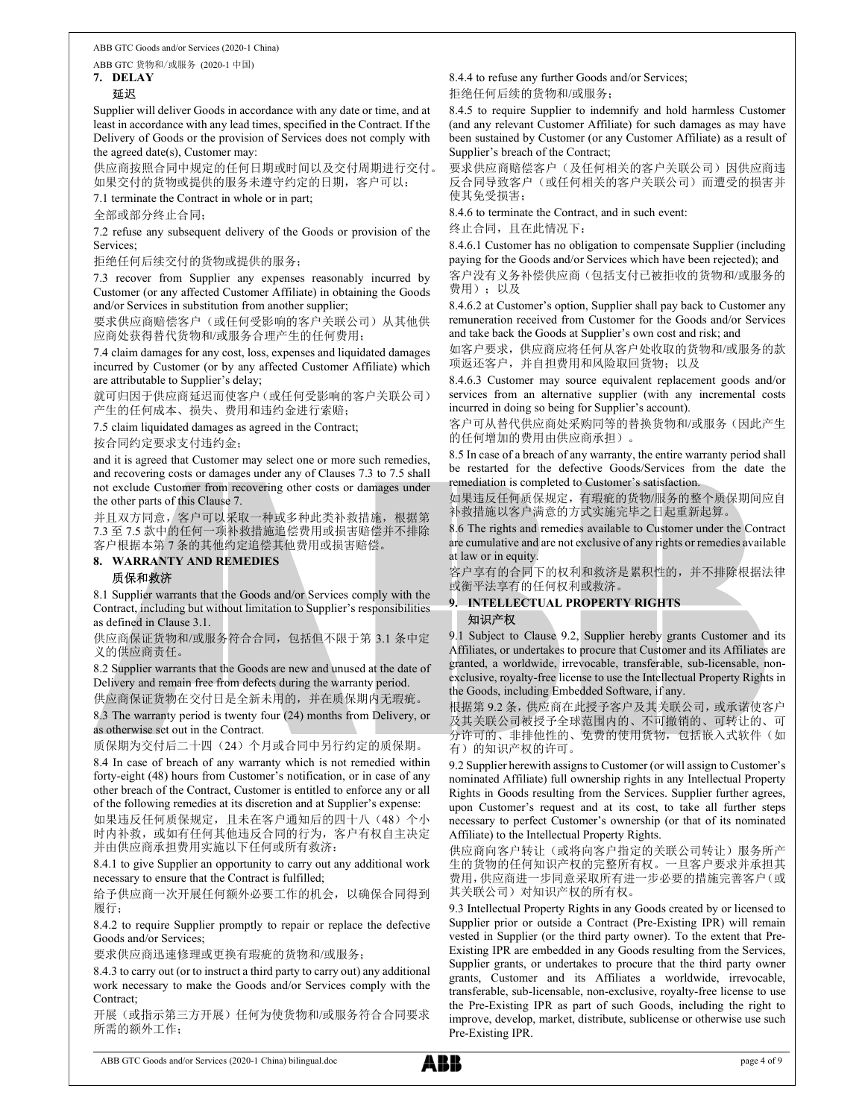ABB GTC 货物和/或服务 (2020-1 中国)

7. DELAY

# 延迟

Supplier will deliver Goods in accordance with any date or time, and at least in accordance with any lead times, specified in the Contract. If the Delivery of Goods or the provision of Services does not comply with the agreed date(s), Customer may:

供应商按照合同中规定的任何日期或时间以及交付周期进行交付。 如果交付的货物或提供的服务未遵守约定的日期,客户可以:

7.1 terminate the Contract in whole or in part;

全部或部分终止合同;

7.2 refuse any subsequent delivery of the Goods or provision of the Services;

拒绝任何后续交付的货物或提供的服务;

7.3 recover from Supplier any expenses reasonably incurred by Customer (or any affected Customer Affiliate) in obtaining the Goods and/or Services in substitution from another supplier;

要求供应商赔偿客户(或任何受影响的客户关联公司)从其他供 应商处获得替代货物和/或服务合理产生的任何费用;

7.4 claim damages for any cost, loss, expenses and liquidated damages incurred by Customer (or by any affected Customer Affiliate) which are attributable to Supplier's delay;

就可归因于供应商延迟而使客户(或任何受影响的客户关联公司) 产生的任何成本、损失、费用和违约金进行索赔;

7.5 claim liquidated damages as agreed in the Contract;

按合同约定要求支付违约金;

and it is agreed that Customer may select one or more such remedies, and recovering costs or damages under any of Clauses 7.3 to 7.5 shall not exclude Customer from recovering other costs or damages under the other parts of this Clause 7.

并且双方同意, 客户可以采取一种或多种此类补救措施, 根据第 7.3 至 7.5 款中的任何一项补救措施追偿费用或损害赔偿并不排除 客户根据本第 7 条的其他约定追偿其他费用或损害赔偿。

## 8. WARRANTY AND REMEDIES

## 质保和救济

8.1 Supplier warrants that the Goods and/or Services comply with the Contract, including but without limitation to Supplier's responsibilities as defined in Clause 3.1.

供应商保证货物和/或服务符合合同,包括但不限于第 3.1 条中定 义的供应商责任。

8.2 Supplier warrants that the Goods are new and unused at the date of Delivery and remain free from defects during the warranty period. 供应商保证货物在交付日是全新未用的,并在质保期内无瑕疵。

8.3 The warranty period is twenty four (24) months from Delivery, or as otherwise set out in the Contract.

质保期为交付后二十四(24)个月或合同中另行约定的质保期。

8.4 In case of breach of any warranty which is not remedied within forty-eight (48) hours from Customer's notification, or in case of any other breach of the Contract, Customer is entitled to enforce any or all of the following remedies at its discretion and at Supplier's expense:

如果违反任何质保规定,且未在客户通知后的四十八(48)个小 时内补救,或如有任何其他违反合同的行为,客户有权自主决定 并由供应商承担费用实施以下任何或所有救济:

8.4.1 to give Supplier an opportunity to carry out any additional work necessary to ensure that the Contract is fulfilled;

给予供应商一次开展任何额外必要工作的机会,以确保合同得到 履行;

8.4.2 to require Supplier promptly to repair or replace the defective Goods and/or Services;

要求供应商迅速修理或更换有瑕疵的货物和/或服务;

8.4.3 to carry out (or to instruct a third party to carry out) any additional work necessary to make the Goods and/or Services comply with the Contract;

开展(或指示第三方开展)任何为使货物和/或服务符合合同要求 所需的额外工作;

8.4.4 to refuse any further Goods and/or Services; 拒绝任何后续的货物和/或服务;

8.4.5 to require Supplier to indemnify and hold harmless Customer (and any relevant Customer Affiliate) for such damages as may have been sustained by Customer (or any Customer Affiliate) as a result of Supplier's breach of the Contract;

要求供应商赔偿客户(及任何相关的客户关联公司)因供应商违 反合同导致客户(或任何相关的客户关联公司)而遭受的损害并 使其免受损害;

8.4.6 to terminate the Contract, and in such event:

终止合同,且在此情况下:

8.4.6.1 Customer has no obligation to compensate Supplier (including paying for the Goods and/or Services which have been rejected); and 客户没有义务补偿供应商(包括支付已被拒收的货物和/或服务的 费用);以及

8.4.6.2 at Customer's option, Supplier shall pay back to Customer any remuneration received from Customer for the Goods and/or Services and take back the Goods at Supplier's own cost and risk; and

如客户要求,供应商应将任何从客户处收取的货物和/或服务的款 项返还客户,并自担费用和风险取回货物;以及

8.4.6.3 Customer may source equivalent replacement goods and/or services from an alternative supplier (with any incremental costs incurred in doing so being for Supplier's account).

客户可从替代供应商处采购同等的替换货物和/或服务(因此产生 的任何增加的费用由供应商承担)。

8.5 In case of a breach of any warranty, the entire warranty period shall be restarted for the defective Goods/Services from the date the remediation is completed to Customer's satisfaction.

如果违反任何质保规定,有瑕疵的货物/服务的整个质保期间应自 补救措施以客户满意的方式实施完毕之日起重新起算。

8.6 The rights and remedies available to Customer under the Contract are cumulative and are not exclusive of any rights or remedies available at law or in equity.

客户享有的合同下的权利和救济是累积性的,并不排除根据法律 或衡平法享有的任何权利或救济。

# 9. INTELLECTUAL PROPERTY RIGHTS 知识产权

9.1 Subject to Clause 9.2, Supplier hereby grants Customer and its Affiliates, or undertakes to procure that Customer and its Affiliates are granted, a worldwide, irrevocable, transferable, sub-licensable, nonexclusive, royalty-free license to use the Intellectual Property Rights in the Goods, including Embedded Software, if any.

根据第 9.2 条,供应商在此授予客户及其关联公司,或承诺使客户 及其关联公司被授予全球范围内的、不可撤销的、可转让的、可 分许可的、非排他性的、免费的使用货物,包括嵌入式软件(如 有)的知识产权的许可。

9.2 Supplier herewith assigns to Customer (or will assign to Customer's nominated Affiliate) full ownership rights in any Intellectual Property Rights in Goods resulting from the Services. Supplier further agrees, upon Customer's request and at its cost, to take all further steps necessary to perfect Customer's ownership (or that of its nominated Affiliate) to the Intellectual Property Rights.

供应商向客户转让(或将向客户指定的关联公司转让)服务所产 生的货物的任何知识产权的完整所有权。一旦客户要求并承担其 费用,供应商进一步同意采取所有进一步必要的措施完善客户(或 其关联公司)对知识产权的所有权。

9.3 Intellectual Property Rights in any Goods created by or licensed to Supplier prior or outside a Contract (Pre-Existing IPR) will remain vested in Supplier (or the third party owner). To the extent that Pre-Existing IPR are embedded in any Goods resulting from the Services, Supplier grants, or undertakes to procure that the third party owner grants, Customer and its Affiliates a worldwide, irrevocable, transferable, sub-licensable, non-exclusive, royalty-free license to use the Pre-Existing IPR as part of such Goods, including the right to improve, develop, market, distribute, sublicense or otherwise use such Pre-Existing IPR.

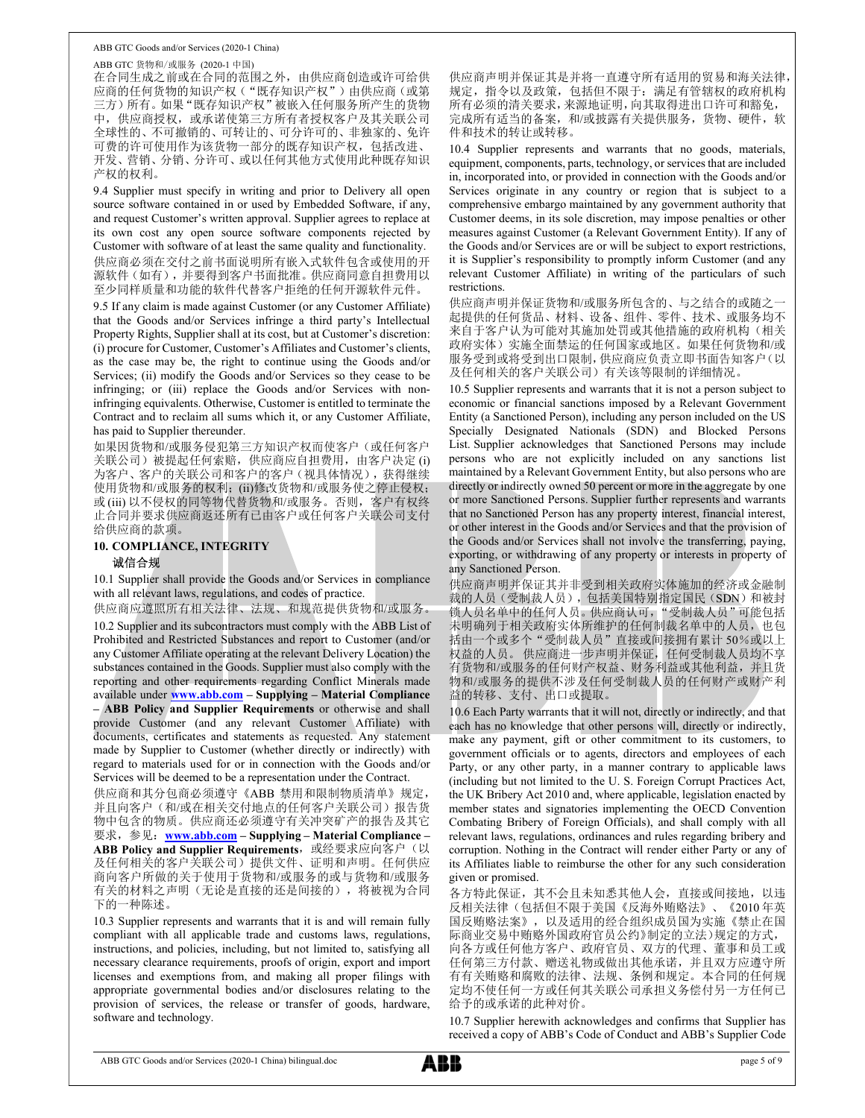ABB GTC 货物和/或服务 (2020-1 中国) 在合同生成之前或在合同的范围之外,由供应商创造或许可给供 应商的任何货物的知识产权("既存知识产权")由供应商(或第 三方)所有。如果"既存知识产权"被嵌入任何服务所产生的货物 中,供应商授权,或承诺使第三方所有者授权客户及其关联公司 全球性的、不可撤销的、可转让的、可分许可的、非独家的、免许 可费的许可使用作为该货物一部分的既存知识产权,包括改进、 开发、营销、分销、分许可、或以任何其他方式使用此种既存知识 产权的权利。

9.4 Supplier must specify in writing and prior to Delivery all open source software contained in or used by Embedded Software, if any, and request Customer's written approval. Supplier agrees to replace at its own cost any open source software components rejected by Customer with software of at least the same quality and functionality. 供应商必须在交付之前书面说明所有嵌入式软件包含或使用的开 源软件(如有),并要得到客户书面批准。供应商同意自担费用以 至少同样质量和功能的软件代替客户拒绝的任何开源软件元件。

9.5 If any claim is made against Customer (or any Customer Affiliate) that the Goods and/or Services infringe a third party's Intellectual Property Rights, Supplier shall at its cost, but at Customer's discretion: (i) procure for Customer, Customer's Affiliates and Customer's clients, as the case may be, the right to continue using the Goods and/or Services; (ii) modify the Goods and/or Services so they cease to be infringing; or (iii) replace the Goods and/or Services with noninfringing equivalents. Otherwise, Customer is entitled to terminate the Contract and to reclaim all sums which it, or any Customer Affiliate, has paid to Supplier thereunder.

如果因货物和/或服务侵犯第三方知识产权而使客户(或任何客户 关联公司)被提起任何索赔,供应商应自担费用,由客户决定 (i) 为客户、客户的关联公司和客户的客户(视具体情况),获得继续 使用货物和/或服务的权利; (ii)修改货物和/或服务使之停止侵权; 或 (iii) 以不侵权的同等物代替货物和/或服务。否则,客户有权终 止合同并要求供应商返还所有已由客户或任何客户关联公司支付 给供应商的款项。

## 10. COMPLIANCE, INTEGRITY 诚信合规

10.1 Supplier shall provide the Goods and/or Services in compliance with all relevant laws, regulations, and codes of practice.

供应商应遵照所有相关法律、法规、和规范提供货物和/或服务。 10.2 Supplier and its subcontractors must comply with the ABB List of Prohibited and Restricted Substances and report to Customer (and/or any Customer Affiliate operating at the relevant Delivery Location) the substances contained in the Goods. Supplier must also comply with the reporting and other requirements regarding Conflict Minerals made available under www.abb.com – Supplying – Material Compliance – ABB Policy and Supplier Requirements or otherwise and shall provide Customer (and any relevant Customer Affiliate) with documents, certificates and statements as requested. Any statement made by Supplier to Customer (whether directly or indirectly) with regard to materials used for or in connection with the Goods and/or Services will be deemed to be a representation under the Contract.

供应商和其分包商必须遵守《ABB 禁用和限制物质清单》规定, 并且向客户(和/或在相关交付地点的任何客户关联公司)报告货 物中包含的物质。供应商还必须遵守有关冲突矿产的报告及其它 要求, 参见: www.abb.com – Supplying – Material Compliance – ABB Policy and Supplier Requirements, 或经要求应向客户(以 及任何相关的客户关联公司)提供文件、证明和声明。任何供应 商向客户所做的关于使用于货物和/或服务的或与货物和/或服务 有关的材料之声明(无论是直接的还是间接的),将被视为合同 下的一种陈述。

10.3 Supplier represents and warrants that it is and will remain fully compliant with all applicable trade and customs laws, regulations, instructions, and policies, including, but not limited to, satisfying all necessary clearance requirements, proofs of origin, export and import licenses and exemptions from, and making all proper filings with appropriate governmental bodies and/or disclosures relating to the provision of services, the release or transfer of goods, hardware, software and technology.

供应商声明并保证其是并将一直遵守所有适用的贸易和海关法律, 规定,指令以及政策,包括但不限于:满足有管辖权的政府机构 所有必须的清关要求,来源地证明,向其取得进出口许可和豁免, 完成所有适当的备案,和/或披露有关提供服务,货物、硬件,软 件和技术的转让或转移。

10.4 Supplier represents and warrants that no goods, materials, equipment, components, parts, technology, or services that are included in, incorporated into, or provided in connection with the Goods and/or Services originate in any country or region that is subject to a comprehensive embargo maintained by any government authority that Customer deems, in its sole discretion, may impose penalties or other measures against Customer (a Relevant Government Entity). If any of the Goods and/or Services are or will be subject to export restrictions, it is Supplier's responsibility to promptly inform Customer (and any relevant Customer Affiliate) in writing of the particulars of such restrictions.

供应商声明并保证货物和/或服务所包含的、与之结合的或随之一 起提供的任何货品、材料、设备、组件、零件、技术、或服务均不 来自于客户认为可能对其施加处罚或其他措施的政府机构(相关 政府实体)实施全面禁运的任何国家或地区。如果任何货物和/或 服务受到或将受到出口限制,供应商应负责立即书面告知客户(以 及任何相关的客户关联公司)有关该等限制的详细情况。

10.5 Supplier represents and warrants that it is not a person subject to economic or financial sanctions imposed by a Relevant Government Entity (a Sanctioned Person), including any person included on the US Specially Designated Nationals (SDN) and Blocked Persons List. Supplier acknowledges that Sanctioned Persons may include persons who are not explicitly included on any sanctions list maintained by a Relevant Government Entity, but also persons who are directly or indirectly owned 50 percent or more in the aggregate by one or more Sanctioned Persons. Supplier further represents and warrants that no Sanctioned Person has any property interest, financial interest, or other interest in the Goods and/or Services and that the provision of the Goods and/or Services shall not involve the transferring, paying, exporting, or withdrawing of any property or interests in property of any Sanctioned Person.

供应商声明并保证其并非受到相关政府实体施加的经济或金融制 裁的人员(受制裁人员),包括美国特别指定国民(SDN)和被封 锁人员名单中的任何人员。供应商认可,"受制裁人员"可能包括 未明确列于相关政府实体所维护的任何制裁名单中的人员,也包 括由一个或多个"受制裁人员"直接或间接拥有累计 50%或以上 | 权益的人员。 供应商进一步声明并保证,任何受制裁人员均不享 有货物和/或服务的任何财产权益、财务利益或其他利益,并且货 物和/或服务的提供不涉及任何受制裁人员的任何财产或财产利 益的转移、支付、出口或提取。

10.6 Each Party warrants that it will not, directly or indirectly, and that each has no knowledge that other persons will, directly or indirectly, make any payment, gift or other commitment to its customers, to government officials or to agents, directors and employees of each Party, or any other party, in a manner contrary to applicable laws (including but not limited to the U. S. Foreign Corrupt Practices Act, the UK Bribery Act 2010 and, where applicable, legislation enacted by member states and signatories implementing the OECD Convention Combating Bribery of Foreign Officials), and shall comply with all relevant laws, regulations, ordinances and rules regarding bribery and corruption. Nothing in the Contract will render either Party or any of its Affiliates liable to reimburse the other for any such consideration given or promised.

各方特此保证,其不会且未知悉其他人会,直接或间接地,以违 反相关法律(包括但不限于美国《反海外贿赂法》、《2010 年英 国反贿赂法案》,以及适用的经合组织成员国为实施《禁止在国 际商业交易中贿赂外国政府官员公约》制定的立法)规定的方式, 向各方或任何他方客户、政府官员、双方的代理、董事和员工或 任何第三方付款、赠送礼物或做出其他承诺,并且双方应遵守所 有有关贿赂和腐败的法律、法规、条例和规定。本合同的任何规 定均不使任何一方或任何其关联公司承担义务偿付另一方任何已 给予的或承诺的此种对价。

10.7 Supplier herewith acknowledges and confirms that Supplier has received a copy of ABB's Code of Conduct and ABB's Supplier Code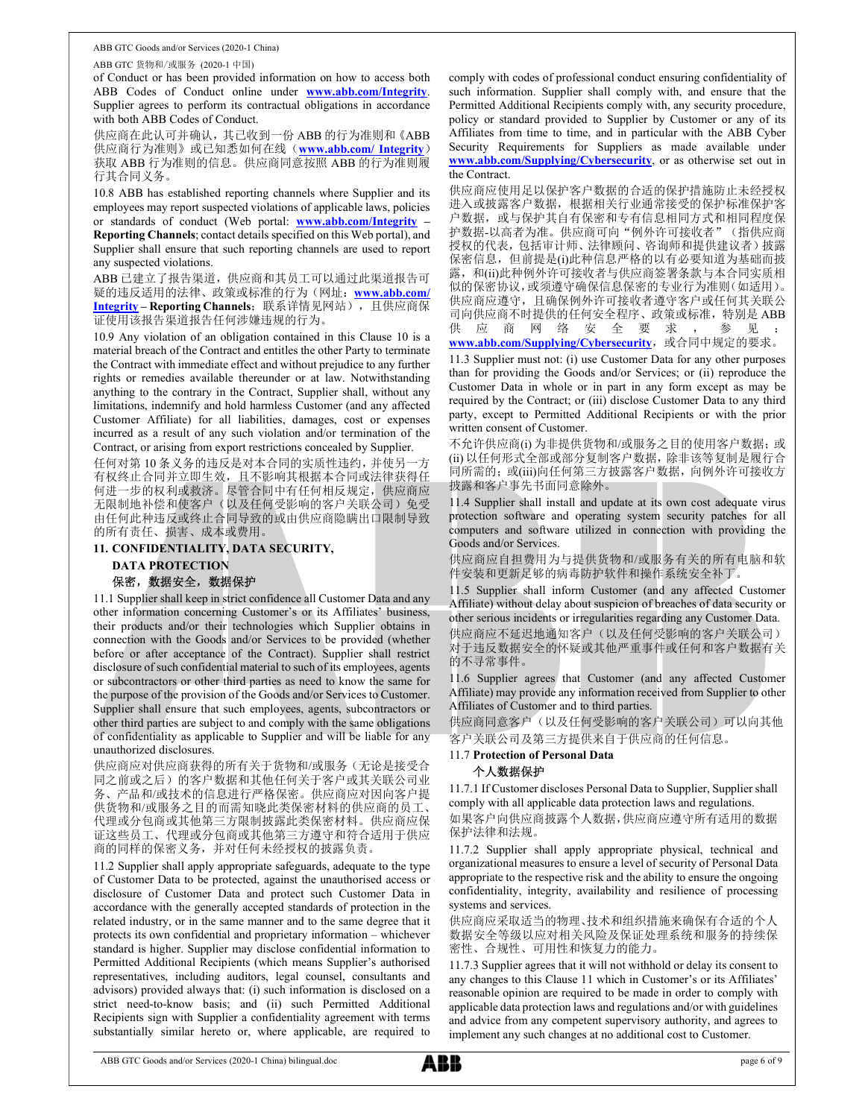ABB GTC 货物和/或服务 (2020-1 中国)

of Conduct or has been provided information on how to access both ABB Codes of Conduct online under **www.abb.com/Integrity**. Supplier agrees to perform its contractual obligations in accordance with both ABB Codes of Conduct.

供应商在此认可并确认,其已收到一份 ABB 的行为准则和《ABB 供应商行为准则》或已知悉如何在线(www.abb.com/ Integrity) 获取 ABB 行为准则的信息。供应商同意按照 ABB 的行为准则履 行其合同义务。

10.8 ABB has established reporting channels where Supplier and its employees may report suspected violations of applicable laws, policies or standards of conduct (Web portal:  $\frac{www.abb.com/Integrity - Reporting Channels}$ ; contact details specified on this Web portal), and

Supplier shall ensure that such reporting channels are used to report any suspected violations.

ABB 已建立了报告渠道,供应商和其员工可以通过此渠道报告可 疑的违反适用的法律、政策或标准的行为(网址: www.abb.com/ Integrity – Reporting Channels;联系详情见网站),且供应商保 证使用该报告渠道报告任何涉嫌违规的行为。

material breach of the Contract and entitles the other Party to terminate the Contract with immediate effect and without prejudice to any further rights or remedies available thereunder or at law. Notwithstanding anything to the contrary in the Contract, Supplier shall, without any limitations, indemnify and hold harmless Customer (and any affected Customer Affiliate) for all liabilities, damages, cost or expenses incurred as a result of any such violation and/or termination of the Contract, or arising from export restrictions concealed by Supplier.

任何对第 10 条义务的违反是对本合同的实质性违约,并使另一方 有权终止合同并立即生效,且不影响其根据本合同或法律获得任 何进一步的权利或救济。尽管合同中有任何相反规定,供应商应 无限制地补偿和使客户(以及任何受影响的客户关联公司)免受 由任何此种违反或终止合同导致的或由供应商隐瞒出口限制导致 的所有责任、损害、成本或费用。

## 11. CONFIDENTIALITY, DATA SECURITY,

# DATA PROTECTION

# 保密,数据安全,数据保护

11.1 Supplier shall keep in strict confidence all Customer Data and any other information concerning Customer's or its Affiliates' business, their products and/or their technologies which Supplier obtains in connection with the Goods and/or Services to be provided (whether before or after acceptance of the Contract). Supplier shall restrict disclosure of such confidential material to such of its employees, agents or subcontractors or other third parties as need to know the same for the purpose of the provision of the Goods and/or Services to Customer. Supplier shall ensure that such employees, agents, subcontractors or other third parties are subject to and comply with the same obligations of confidentiality as applicable to Supplier and will be liable for any unauthorized disclosures.

供应商应对供应商获得的所有关于货物和/或服务(无论是接受合 同之前或之后)的客户数据和其他任何关于客户或其关联公司业 务、产品和/或技术的信息进行严格保密。供应商应对因向客户提 供货物和/或服务之目的而需知晓此类保密材料的供应商的员工、 代理或分包商或其他第三方限制披露此类保密材料。供应商应保 证这些员工、代理或分包商或其他第三方遵守和符合适用于供应 商的同样的保密义务,并对任何未经授权的披露负责。

11.2 Supplier shall apply appropriate safeguards, adequate to the type of Customer Data to be protected, against the unauthorised access or disclosure of Customer Data and protect such Customer Data in accordance with the generally accepted standards of protection in the related industry, or in the same manner and to the same degree that it protects its own confidential and proprietary information – whichever standard is higher. Supplier may disclose confidential information to Permitted Additional Recipients (which means Supplier's authorised representatives, including auditors, legal counsel, consultants and advisors) provided always that: (i) such information is disclosed on a strict need-to-know basis; and (ii) such Permitted Additional Recipients sign with Supplier a confidentiality agreement with terms substantially similar hereto or, where applicable, are required to

comply with codes of professional conduct ensuring confidentiality of such information. Supplier shall comply with, and ensure that the Permitted Additional Recipients comply with, any security procedure, policy or standard provided to Supplier by Customer or any of its Affiliates from time to time, and in particular with the ABB Cyber Security Requirements for Suppliers as made available under www.abb.com/Supplying/Cybersecurity, or as otherwise set out in the Contract.

<u>ence</u> is a second that the state of an obligation contained in this Clause 10 is a name abb com/Supplying/Cyborsecurity 
<br>
10.9 Any violation of an obligation contained in this Clause 10 is a name abb com/Supplying/Cybo 供应商应使用足以保护客户数据的合适的保护措施防止未经授权 进入或披露客户数据,根据相关行业通常接受的保护标准保护客 户数据,或与保护其自有保密和专有信息相同方式和相同程度保 护数据-以高者为准。供应商可向"例外许可接收者"(指供应商 授权的代表,包括审计师、法律顾问、咨询师和提供建议者)披露 保密信息,但前提是(i)此种信息严格的以有必要知道为基础而披 露,和(ii)此种例外许可接收者与供应商签署条款与本合同实质相 似的保密协议,或须遵守确保信息保密的专业行为准则(如适用)。 供应商应遵守,且确保例外许可接收者遵守客户或任何其关联公 司向供应商不时提供的任何安全程序、政策或标准,特别是 ABB<br>供 应 商 网 络 安 全 要 求 , 参 见 : 似的保密协议,或须遵守确保信息保密的专业行为准则(如适用)。<br>供应商应遵守,且确保例外许可接收者遵守客户或任何其关联公<br>司向供应商不时提供的任何安全程序、政策或标准,特别是 ABB<br>供 应 , 商 网 , 给 安 全 要 求 , , \_参 见 \_、 ;<br>供 应 , \_ 。 , , 字 字 . , , \_ \_ 参 见 \_、 www.abb.com/Supplying/Cybersecurity, 或合同中规定的要求。

> 11.3 Supplier must not: (i) use Customer Data for any other purposes than for providing the Goods and/or Services; or (ii) reproduce the Customer Data in whole or in part in any form except as may be required by the Contract; or (iii) disclose Customer Data to any third party, except to Permitted Additional Recipients or with the prior written consent of Customer.

> 不允许供应商(i) 为非提供货物和/或服务之目的使用客户数据; 或 (ii) 以任何形式全部或部分复制客户数据,除非该等复制是履行合 同所需的; 或(iii)向任何第三方披露客户数据, 向例外许可接收方 披露和客户事先书面同意除外。

> 11.4 Supplier shall install and update at its own cost adequate virus protection software and operating system security patches for all computers and software utilized in connection with providing the Goods and/or Services.

> 供应商应自担费用为与提供货物和/或服务有关的所有电脑和软 件安装和更新足够的病毒防护软件和操作系统安全补丁。

> 11.5 Supplier shall inform Customer (and any affected Customer Affiliate) without delay about suspicion of breaches of data security or other serious incidents or irregularities regarding any Customer Data.

> 供应商应不延迟地通知客户(以及任何受影响的客户关联公司) 对于违反数据安全的怀疑或其他严重事件或任何和客户数据有关 的不寻常事件。

> 11.6 Supplier agrees that Customer (and any affected Customer Affiliate) may provide any information received from Supplier to other Affiliates of Customer and to third parties.

> 供应商同意客户(以及任何受影响的客户关联公司)可以向其他 客户关联公司及第三方提供来自于供应商的任何信息。

## 11.7 Protection of Personal Data

## 个人数据保护

11.7.1 If Customer discloses Personal Data to Supplier, Supplier shall comply with all applicable data protection laws and regulations.

如果客户向供应商披露个人数据,供应商应遵守所有适用的数据 保护法律和法规。

11.7.2 Supplier shall apply appropriate physical, technical and organizational measures to ensure a level of security of Personal Data appropriate to the respective risk and the ability to ensure the ongoing confidentiality, integrity, availability and resilience of processing systems and services.

供应商应采取适当的物理、技术和组织措施来确保有合适的个人 数据安全等级以应对相关风险及保证处理系统和服务的持续保 密性、合规性、可用性和恢复力的能力。

11.7.3 Supplier agrees that it will not withhold or delay its consent to any changes to this Clause 11 which in Customer's or its Affiliates' reasonable opinion are required to be made in order to comply with applicable data protection laws and regulations and/or with guidelines and advice from any competent supervisory authority, and agrees to implement any such changes at no additional cost to Customer.

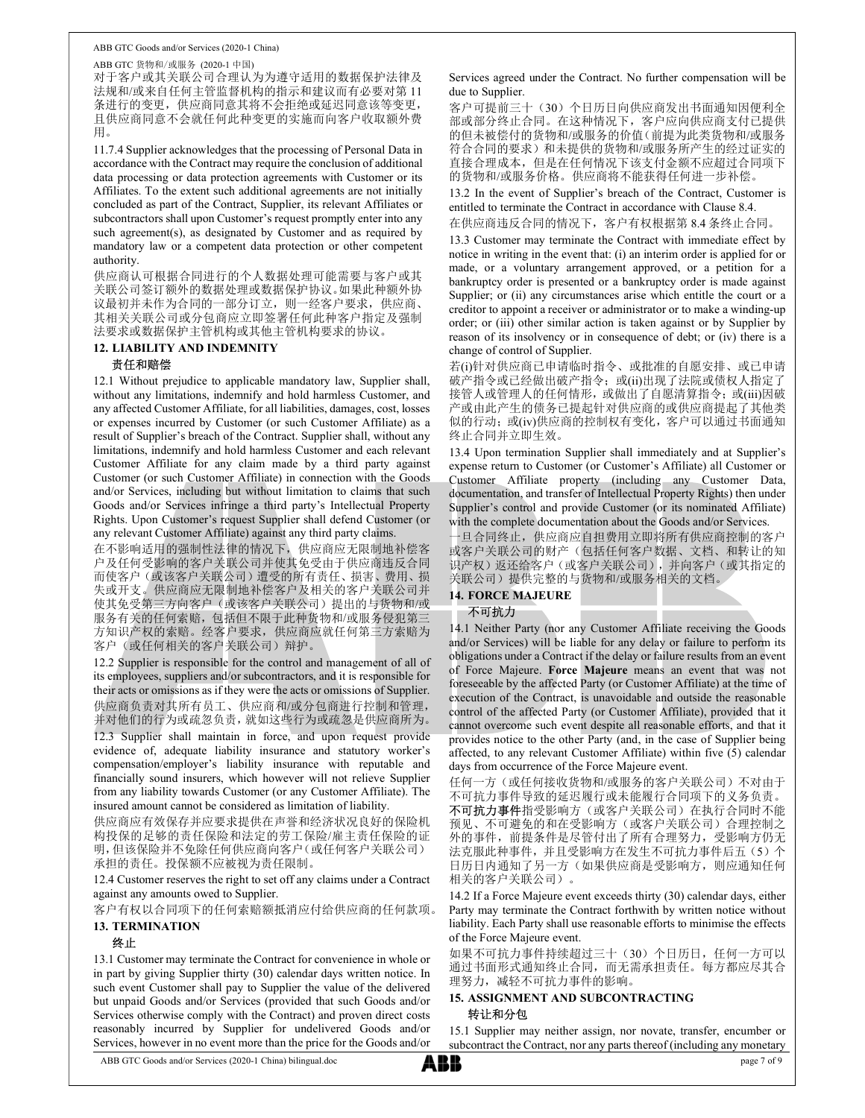ABB GTC 货物和/或服务 (2020-1 中国) 对于客户或其关联公司合理认为为遵守适用的数据保护法律及 法规和/或来自任何主管监督机构的指示和建议而有必要对第 11 条进行的变更,供应商同意其将不会拒绝或延迟同意该等变更, 且供应商同意不会就任何此种变更的实施而向客户收取额外费 用。

11.7.4 Supplier acknowledges that the processing of Personal Data in accordance with the Contract may require the conclusion of additional data processing or data protection agreements with Customer or its Affiliates. To the extent such additional agreements are not initially concluded as part of the Contract, Supplier, its relevant Affiliates or subcontractors shall upon Customer's request promptly enter into any such agreement(s), as designated by Customer and as required by mandatory law or a competent data protection or other competent authority.

供应商认可根据合同进行的个人数据处理可能需要与客户或其 关联公司签订额外的数据处理或数据保护协议。如果此种额外协 议最初并未作为合同的一部分订立,则一经客户要求,供应商、 其相关关联公司或分包商应立即签署任何此种客户指定及强制 法要求或数据保护主管机构或其他主管机构要求的协议。

# 12. LIABILITY AND INDEMNITY

# 责任和赔偿

12.1 Without prejudice to applicable mandatory law, Supplier shall, without any limitations, indemnify and hold harmless Customer, and any affected Customer Affiliate, for all liabilities, damages, cost, losses or expenses incurred by Customer (or such Customer Affiliate) as a result of Supplier's breach of the Contract. Supplier shall, without any limitations, indemnify and hold harmless Customer and each relevant Customer Affiliate for any claim made by a third party against Customer (or such Customer Affiliate) in connection with the Goods and/or Services, including but without limitation to claims that such Goods and/or Services infringe a third party's Intellectual Property Rights. Upon Customer's request Supplier shall defend Customer (or any relevant Customer Affiliate) against any third party claims.

在不影响适用的强制性法律的情况下,供应商应无限制地补偿客 户及任何受影响的客户关联公司并使其免受由于供应商违反合同 而使客户(或该客户关联公司)遭受的所有责任、损害、费用、损 失或开支。供应商应无限制地补偿客户及相关的客户关联公司并 使其免受第三方向客户(或该客户关联公司)提出的与货物和/或————— 服务有关的任何索赔,包括但不限于此种货物和/或服务侵犯第三 1 方知识产权的索赔。经客户要求,供应商应就任何第三方索赔为 客户(或任何相关的客户关联公司)辩护。

12.2 Supplier is responsible for the control and management of all of its employees, suppliers and/or subcontractors, and it is responsible for their acts or omissions as if they were the acts or omissions of Supplier. 供应商负责对其所有员工、供应商和/或分包商进行控制和管理, 并对他们的行为或疏忽负责,就如这些行为或疏忽是供应商所为。

12.3 Supplier shall maintain in force, and upon request provide evidence of, adequate liability insurance and statutory worker's compensation/employer's liability insurance with reputable and financially sound insurers, which however will not relieve Supplier from any liability towards Customer (or any Customer Affiliate). The insured amount cannot be considered as limitation of liability.

供应商应有效保存并应要求提供在声誉和经济状况良好的保险机 构投保的足够的责任保险和法定的劳工保险/雇主责任保险的证 明,但该保险并不免除任何供应商向客户(或任何客户关联公司) 承担的责任。投保额不应被视为责任限制。

12.4 Customer reserves the right to set off any claims under a Contract against any amounts owed to Supplier.

客户有权以合同项下的任何索赔额抵消应付给供应商的任何款项。 13. TERMINATION

# 终止

13.1 Customer may terminate the Contract for convenience in whole or in part by giving Supplier thirty (30) calendar days written notice. In such event Customer shall pay to Supplier the value of the delivered but unpaid Goods and/or Services (provided that such Goods and/or Services otherwise comply with the Contract) and proven direct costs reasonably incurred by Supplier for undelivered Goods and/or Services, however in no event more than the price for the Goods and/or

Services agreed under the Contract. No further compensation will be due to Supplier.

客户可提前三十(30)个日历日向供应商发出书面通知因便利全 部或部分终止合同。在这种情况下,客户应向供应商支付已提供 的但未被偿付的货物和/或服务的价值(前提为此类货物和/或服务 符合合同的要求)和未提供的货物和/或服务所产生的经过证实的 直接合理成本,但是在任何情况下该支付金额不应超过合同项下 的货物和/或服务价格。供应商将不能获得任何进一步补偿。

13.2 In the event of Supplier's breach of the Contract, Customer is entitled to terminate the Contract in accordance with Clause 8.4.

在供应商违反合同的情况下,客户有权根据第 8.4 条终止合同。

13.3 Customer may terminate the Contract with immediate effect by notice in writing in the event that: (i) an interim order is applied for or made, or a voluntary arrangement approved, or a petition for a bankruptcy order is presented or a bankruptcy order is made against Supplier; or (ii) any circumstances arise which entitle the court or a creditor to appoint a receiver or administrator or to make a winding-up order; or (iii) other similar action is taken against or by Supplier by reason of its insolvency or in consequence of debt; or (iv) there is a change of control of Supplier.

若(i)针对供应商已申请临时指令、或批准的自愿安排、或已申请 破产指令或已经做出破产指令; 或(ii)出现了法院或债权人指定了 接管人或管理人的任何情形, 或做出了自愿清算指令; 或(iii)因破 产或由此产生的债务已提起针对供应商的或供应商提起了其他类 似的行动;或(iv)供应商的控制权有变化,客户可以通过书面通知 终止合同并立即生效。

13.4 Upon termination Supplier shall immediately and at Supplier's expense return to Customer (or Customer's Affiliate) all Customer or Customer Affiliate property (including any Customer Data, documentation, and transfer of Intellectual Property Rights) then under Supplier's control and provide Customer (or its nominated Affiliate) with the complete documentation about the Goods and/or Services.

一旦合同终止,供应商应自担费用立即将所有供应商控制的客户 或客户关联公司的财产(包括任何客户数据、文档、和转让的知 识产权)返还给客户(或客户关联公司),并向客户(或其指定的 关联公司)提供完整的与货物和/或服务相关的文档。

# 14. FORCE MAJEURE

## 不可抗力

14.1 Neither Party (nor any Customer Affiliate receiving the Goods and/or Services) will be liable for any delay or failure to perform its obligations under a Contract if the delay or failure results from an event of Force Majeure. Force Majeure means an event that was not foreseeable by the affected Party (or Customer Affiliate) at the time of execution of the Contract, is unavoidable and outside the reasonable control of the affected Party (or Customer Affiliate), provided that it cannot overcome such event despite all reasonable efforts, and that it provides notice to the other Party (and, in the case of Supplier being affected, to any relevant Customer Affiliate) within five (5) calendar days from occurrence of the Force Majeure event.

任何一方(或任何接收货物和/或服务的客户关联公司)不对由于 不可抗力事件导致的延迟履行或未能履行合同项下的义务负责。

不可抗力事件指受影响方(或客户关联公司)在执行合同时不能 预见、不可避免的和在受影响方(或客户关联公司)合理控制之 外的事件,前提条件是尽管付出了所有合理努力,受影响方仍无 法克服此种事件,并且受影响方在发生不可抗力事件后五(5)个 日历日内通知了另一方(如果供应商是受影响方,则应通知任何 相关的客户关联公司)。

14.2 If a Force Majeure event exceeds thirty (30) calendar days, either Party may terminate the Contract forthwith by written notice without liability. Each Party shall use reasonable efforts to minimise the effects of the Force Majeure event.

如果不可抗力事件持续超过三十(30)个日历日,任何一方可以 通过书面形式通知终止合同,而无需承担责任。每方都应尽其合 理努力,减轻不可抗力事件的影响。

# 15. ASSIGNMENT AND SUBCONTRACTING 转让和分包

15.1 Supplier may neither assign, nor novate, transfer, encumber or subcontract the Contract, nor any parts thereof (including any monetary

ABB GTC Goods and/or Services (2020-1 China) bilingual.doc page 7 of 9

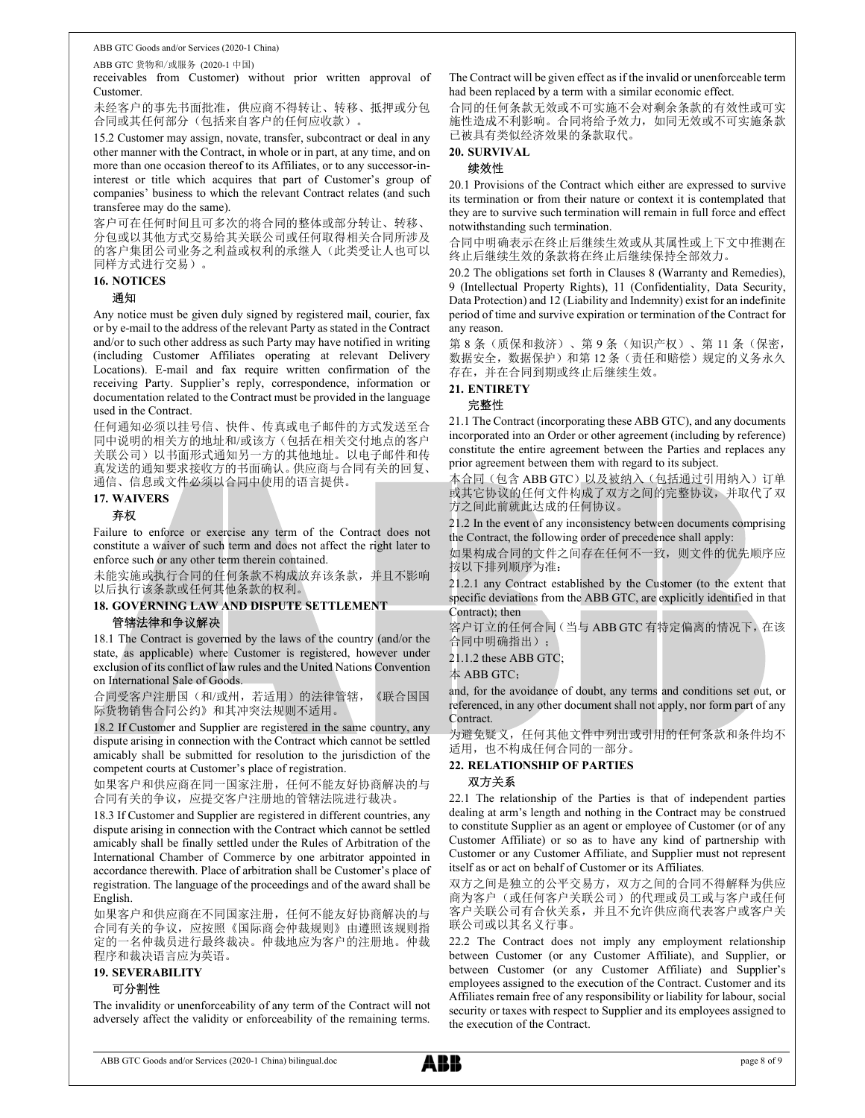ABB GTC 货物和/或服务 (2020-1 中国)

receivables from Customer) without prior written approval of Customer.

未经客户的事先书面批准,供应商不得转让、转移、抵押或分包 合同或其任何部分(包括来自客户的任何应收款)。

15.2 Customer may assign, novate, transfer, subcontract or deal in any other manner with the Contract, in whole or in part, at any time, and on more than one occasion thereof to its Affiliates, or to any successor-ininterest or title which acquires that part of Customer's group of companies' business to which the relevant Contract relates (and such transferee may do the same).

客户可在任何时间且可多次的将合同的整体或部分转让、转移、 分包或以其他方式交易给其关联公司或任何取得相关合同所涉及 的客户集团公司业务之利益或权利的承继人(此类受让人也可以 同样方式进行交易)。

#### 16. NOTICES

#### 通知

Any notice must be given duly signed by registered mail, courier, fax or by e-mail to the address of the relevant Party as stated in the Contract and/or to such other address as such Party may have notified in writing (including Customer Affiliates operating at relevant Delivery Locations). E-mail and fax require written confirmation of the receiving Party. Supplier's reply, correspondence, information or documentation related to the Contract must be provided in the language used in the Contract.

任何通知必须以挂号信、快件、传真或电子邮件的方式发送至合 同中说明的相关方的地址和/或该方(包括在相关交付地点的客户 关联公司)以书面形式通知另一方的其他地址。以电子邮件和传 真发送的通知要求接收方的书面确认。供应商与合同有关的回复、 通信、信息或文件必须以合同中使用的语言提供。

## 17. WAIVERS

# 弃权

Failure to enforce or exercise any term of the Contract does not constitute a waiver of such term and does not affect the right later to enforce such or any other term therein contained.

未能实施或执行合同的任何条款不构成放弃该条款,并且不影响 以后执行该条款或任何其他条款的权利。

# 18. GOVERNING LAW AND DISPUTE SETTLEMENT

## 管辖法律和争议解决

18.1 The Contract is governed by the laws of the country (and/or the 合同中明确指出); state, as applicable) where Customer is registered, however under exclusion of its conflict of law rules and the United Nations Convention on International Sale of Goods.

合同受客户注册国(和/或州,若适用)的法律管辖,《联合国国 际货物销售合同公约》和其冲突法规则不适用。

18.2 If Customer and Supplier are registered in the same country, any dispute arising in connection with the Contract which cannot be settled amicably shall be submitted for resolution to the jurisdiction of the competent courts at Customer's place of registration.

如果客户和供应商在同一国家注册,任何不能友好协商解决的与 合同有关的争议,应提交客户注册地的管辖法院进行裁决。

18.3 If Customer and Supplier are registered in different countries, any dispute arising in connection with the Contract which cannot be settled amicably shall be finally settled under the Rules of Arbitration of the International Chamber of Commerce by one arbitrator appointed in accordance therewith. Place of arbitration shall be Customer's place of registration. The language of the proceedings and of the award shall be English.

如果客户和供应商在不同国家注册,任何不能友好协商解决的与 合同有关的争议,应按照《国际商会仲裁规则》由遵照该规则指 定的一名仲裁员进行最终裁决。仲裁地应为客户的注册地。仲裁 程序和裁决语言应为英语。

# 19. SEVERABILITY

# 可分割性

The invalidity or unenforceability of any term of the Contract will not adversely affect the validity or enforceability of the remaining terms.

The Contract will be given effect as if the invalid or unenforceable term had been replaced by a term with a similar economic effect.

合同的任何条款无效或不可实施不会对剩余条款的有效性或可实 施性造成不利影响。合同将给予效力,如同无效或不可实施条款 已被具有类似经济效果的条款取代。

## 20. SURVIVAL

#### 续效性

20.1 Provisions of the Contract which either are expressed to survive its termination or from their nature or context it is contemplated that they are to survive such termination will remain in full force and effect notwithstanding such termination.

合同中明确表示在终止后继续生效或从其属性或上下文中推测在 终止后继续生效的条款将在终止后继续保持全部效力。

20.2 The obligations set forth in Clauses 8 (Warranty and Remedies), 9 (Intellectual Property Rights), 11 (Confidentiality, Data Security, Data Protection) and 12 (Liability and Indemnity) exist for an indefinite period of time and survive expiration or termination of the Contract for any reason.

第 8 条(质保和救济)、第 9 条(知识产权)、第 11 条(保密, 数据安全,数据保护)和第12条(责任和赔偿)规定的义务永久 存在,并在合同到期或终止后继续生效。

# 21. ENTIRETY

# 完整性

21.1 The Contract (incorporating these ABB GTC), and any documents incorporated into an Order or other agreement (including by reference) constitute the entire agreement between the Parties and replaces any prior agreement between them with regard to its subject.

本合同(包含 ABB GTC)以及被纳入(包括通过引用纳入)订单 或其它协议的任何文件构成了双方之间的完整协议,并取代了双 方之间此前就此达成的任何协议。

21.2 In the event of any inconsistency between documents comprising the Contract, the following order of precedence shall apply:

如果构成合同的文件之间存在任何不一致,则文件的优先顺序应 按以下排列顺序为准:

21.2.1 any Contract established by the Customer (to the extent that specific deviations from the ABB GTC, are explicitly identified in that Contract); then

客户订立的任何合同(当与 ABB GTC 有特定偏离的情况下,在该

21.1.2 these ABB GTC;

本 ABB GTC;

and, for the avoidance of doubt, any terms and conditions set out, or referenced, in any other document shall not apply, nor form part of any Contract.

为避免疑义,任何其他文件中列出或引用的任何条款和条件均不 适用,也不构成任何合同的一部分。

# 22. RELATIONSHIP OF PARTIES 双方关系

22.1 The relationship of the Parties is that of independent parties dealing at arm's length and nothing in the Contract may be construed to constitute Supplier as an agent or employee of Customer (or of any Customer Affiliate) or so as to have any kind of partnership with Customer or any Customer Affiliate, and Supplier must not represent itself as or act on behalf of Customer or its Affiliates.

双方之间是独立的公平交易方,双方之间的合同不得解释为供应 商为客户(或任何客户关联公司)的代理或员工或与客户或任何 客户关联公司有合伙关系,并且不允许供应商代表客户或客户关 联公司或以其名义行事。

22.2 The Contract does not imply any employment relationship between Customer (or any Customer Affiliate), and Supplier, or between Customer (or any Customer Affiliate) and Supplier's employees assigned to the execution of the Contract. Customer and its Affiliates remain free of any responsibility or liability for labour, social security or taxes with respect to Supplier and its employees assigned to the execution of the Contract.